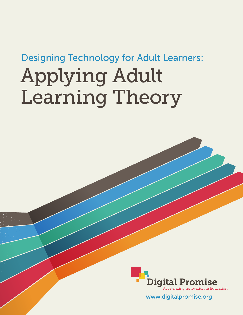## Designing Technology for Adult Learners:

# Applying Adult Learning Theory



www.digitalpromise.org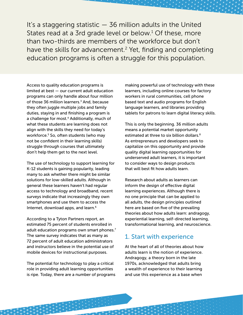It's a staggering statistic  $-$  36 million adults in the United States read at a 3rd grade level or below.<sup>1</sup> Of these, more than two-thirds are members of the workforce but don't have the skills for advancement.<sup>2</sup> Yet, finding and completing education programs is often a struggle for this population.

Access to quality education programs is limited at best — our current adult education programs can only handle about four million of those 36 million learners.<sup>3</sup> And, because they often juggle multiple jobs and family duties, staying in and finishing a program is a challenge for most.<sup>4</sup> Additionally, much of what these students are learning does not align with the skills they need for today's workforce.<sup>5</sup> So, often students (who may not be confident in their learning skills) struggle through courses that ultimately don't help them get to the next level.

The use of technology to support learning for K-12 students is gaining popularity, leading many to ask whether there might be similar solutions for low-skilled adults. Although in general these learners haven't had regular access to technology and broadband, recent surveys indicate that increasingly they own smartphones and use them to access the Internet, download apps, and learn.<sup>6</sup>

According to a Tyton Partners report, an estimated 75 percent of students enrolled in adult education programs own smart phones.<sup>7</sup> The same survey indicates that as many as 72 percent of adult education administrators and instructors believe in the potential use of mobile devices for instructional purposes.

The potential for technology to play a critical role in providing adult learning opportunities is ripe. Today, there are a number of programs making powerful use of technology with these learners, including online courses for factory workers in rural communities, cell phone based text and audio programs for English language learners, and libraries providing tablets for patrons to learn digital literacy skills.

This is only the beginning. 36 million adults means a potential market opportunity estimated at three to six billion dollars.<sup>8</sup> As entrepreneurs and developers seek to capitalize on this opportunity and provide quality digital learning opportunities for underserved adult learners, it is important to consider ways to design products that will best fit how adults learn.

Research about adults as learners can inform the design of effective digital learning experiences. Although there is no one principle that can be applied to all adults, the design principles outlined here are based on five of the prevailing theories about how adults learn: andragogy, experiential learning, self-directed learning, transformational learning, and neuroscience.

#### 1. Start with experience

At the heart of all of theories about how adults learn is the notion of experience. Andragogy, a theory born in the late 1970s, acknowledged that adults bring a wealth of experience to their learning and use this experience as a base when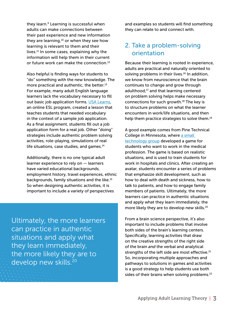they learn.<sup>9</sup> Learning is successful when adults can make connections between their past experience and new information they are learning, $10$  or when they see how learning is relevant to them and their lives. $11$  In some cases, explaining why the information will help them in their current or future work can make the connection.<sup>12</sup>

Also helpful is finding ways for students to "do" something with the new knowledge. The more practical and authentic, the better.<sup>13</sup> For example, many adult English language learners lack the vocabulary necessary to fill out basic job application forms. [USA Learns,](http://www.usalearns.org/) an online ESL program, created a lesson that teaches students that needed vocabulary in the context of a sample job application. As a final assignment, students fill out a job application form for a real job. Other "doing" strategies include authentic problem solving activities, role-playing, simulations of real life situations, case studies, and games. $14$ 

Additionally, there is no one typical adult learner experience to rely on — learners have varied educational backgrounds, employment history, travel experiences, ethnic backgrounds, family situations and the like.15 So when designing authentic activities, it is important to include a variety of perspectives

Ultimately, the more learners can practice in authentic situations and apply what they learn immediately, the more likely they are to develop new skills.<sup>20</sup>

and examples so students will find something they can relate to and connect with.

#### 2. Take a problem-solving orientation

Because their learning is rooted in experience, adults are practical and naturally oriented to solving problems in their lives. $16$  In addition, we know from neuroscience that the brain continues to change and grow through adulthood, $17$  and that learning centered on problem solving helps make necessary connections for such growth.18 The key is to structure problems on what the learner encounters in work/life situations, and then help them practice strategies to solve them.19

A good example comes from Pine Technical College in Minnesota, where a small [technology group](http://www.johnsonsimcenter.com/) developed a game for students who want to work in the medical profession. The game is based on realistic situations, and is used to train students for work in hospitals and clinics. After creating an avatar, students encounter a series of problems that emphasize skill development, such as how to deal with death and sickness, how to talk to patients, and how to engage family members of patients. Ultimately, the more learners can practice in authentic situations and apply what they learn immediately, the more likely they are to develop new skills.<sup>20</sup>

From a brain science perspective, it's also important to include problems that involve both sides of the brain's learning centers. Specifically, learning activities that draw on the creative strengths of the right side of the brain *and* the verbal and analytical strengths of the left side are most effective.<sup>21</sup> So, incorporating multiple approaches and pathways to solutions in games and activities is a good strategy to help students use both sides of their brains when solving problems.<sup>22</sup>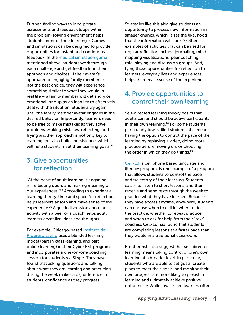Further, finding ways to incorporate assessments and feedback loops within the problem-solving environment helps students monitor their learning.<sup>23</sup> Games and simulations can be designed to provide opportunities for instant and continuous feedback. In the [medical simulation game](http://www.johnsonsimcenter.com/) mentioned above, students work through each challenge and get feedback on their approach and choices. If their avatar's approach to engaging family members is not the best choice, they will experience something similar to what they would in real life – a family member will get angry or emotional, or display an inability to effectively deal with the situation. Students try again until the family member avatar engages in the desired behavior. Importantly, learners need to be free to make mistakes as they solve problems. Making mistakes, reflecting, and trying another approach is not only key to learning, but also builds persistence, which will help students meet their learning goals.<sup>24</sup>

#### 3. Give opportunities for reflection

"At the heart of adult learning is engaging in, reflecting upon, and making meaning of our experiences."25 According to experiential learning theory, time and space for reflection helps learners absorb and make sense of the experience.<sup>26</sup> A quick discussion about an activity with a peer or a coach helps adult learners crystalize ideas and thoughts.

For example, Chicago-based [Instituto del](http://www.institutochicago.org/)  [Progreso Latino](http://www.institutochicago.org/) uses a blended learning model (part in class learning, and part online learning) in their Cyber ESL program, and incorporates a one-on-one coaching session for students via Skype. They have found that asking questions and talking about what they are learning and practicing during the week makes a big difference in students' confidence as they progress.

Strategies like this also give students an opportunity to process new information in smaller chunks, which raises the likelihood that the information will stick.27 Other examples of activities that can be used for regular reflection include journaling, mind mapping visualizations, peer coaching, role-playing and discussion groups. And, tying those opportunities for reflection to learners' everyday lives and experiences helps them make sense of the experience.

#### 4. Provide opportunities to control their own learning

Self-directed learning theory posits that adults can and should be active participants in their own learning. $28$  For some students, particularly low-skilled students, this means having the option to control the pace of their learning by replaying a video, doing more practice before moving on, or choosing the order in which they do things.<sup>29</sup>

[Cell-Ed](http://www.celled.org/), a cell phone based language and literacy program, is one example of a program that allows students to control the pace and trajectory of their learning. Students call in to listen to short lessons, and then receive and send texts through the week to practice what they have learned. Because they have access anytime, anywhere, students can choose when to call in, when to do the practice, whether to repeat practice, and when to ask for help from their "text" coaches. Cell-Ed has found that students are completing lessons at a faster pace than they would in a traditional classroom.

But theorists also suggest that self-directed learning means taking control of one's own learning at a broader level. In particular, students who are able to set goals, create plans to meet their goals, and monitor their own progress are more likely to persist in learning and ultimately achieve positive outcomes.30 While low-skilled learners often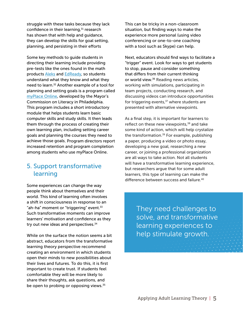struggle with these tasks because they lack confidence in their learning,<sup>31</sup> research has shown that with help and guidance, they can develop the skills for goal setting, planning, and persisting in their efforts

Some key methods to guide students in directing their learning include providing pre-tests like the ones found in the math products [Aleks](https://www.aleks.com/) and [EdReady,](https://edready.org/home) so students understand what they know and what they need to learn.<sup>32</sup> Another example of a tool for planning and setting goals is a program called [myPlace Online,](http://philaliteracy.org/adult_learners/myplace-online/) developed by the Mayor's Commission on Literacy in Philadelphia. This program includes a short introductory module that helps students learn basic computer skills and study skills. It then leads them through the process of creating their own learning plan, including setting career goals and planning the courses they need to achieve those goals. Program directors report increased retention and program completion among students who use myPlace Online.

#### 5. Support transformative learning

Some experiences can change the way people think about themselves and their world. This kind of learning often involves a shift in consciousness in response to an "ah-ha" moment or "triggering" event. $33$ Such transformative moments can improve learners' motivation and confidence as they try out new ideas and perspectives.<sup>34</sup>

While on the surface the notion seems a bit abstract, educators from the transformative learning theory perspective recommend creating an environment in which students open their minds to new possibilities about their lives and futures. To do this, it is first important to create trust. If students feel comfortable they will be more likely to share their thoughts, ask questions, and be open to probing or opposing views.<sup>35</sup>

This can be tricky in a non-classroom situation, but finding ways to make the experience more personal (using video conferencing or one-to-one coaching with a tool such as Skype) can help.

Next, educators should find ways to facilitate a "trigger" event. Look for ways to get students to stop, pause and consider something that differs from their current thinking or world view.<sup>36</sup> Reading news articles, working with simulations, participating in team projects, conducting research, and discussing videos can introduce opportunities for triggering events, $37$  where students are presented with alternative viewpoints.

As a final step, it is important for learners to reflect on these new viewpoints, $38$  and take some kind of action, which will help crystalize the transformation.<sup>39</sup> For example, publishing a paper, producing a video or photo essay, developing a new goal, researching a new career, or joining a professional organization are all ways to take action. Not all students will have a transformative learning experience, but researchers argue that for some adult learners, this type of learning can make the difference between success and failure.<sup>40</sup>

> They need challenges to solve, and transformative learning experiences to help stimulate growth.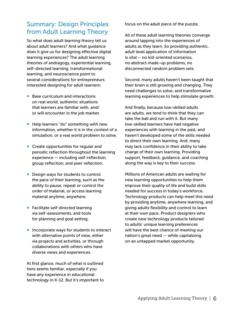#### Summary: Design Principles from Adult Learning Theory

So what does adult learning theory tell us about adult learners? And what guidance does it give us for designing effective digital learning experiences? The adult learning theories of andragogy, experiential learning, self-directed learning, transformational learning, and neuroscience point to several considerations for entrepreneurs interested designing for adult learners:

- Base curriculum and interactions on real world, authentic situations that learners are familiar with, and/ or will encounter in the job market.
- Help learners "do" something with new information, whether it is in the context of a simulation, or a real world problem to solve.
- Create opportunities for regular and periodic reflection throughout the learning experience — including self-reflection, group reflection, and peer reflection.
- Design ways for students to control the pace of their learning, such as the ability to pause, repeat or control the order of material, or access learning material anytime, anywhere.
- Facilitate self-directed learning via self-assessments, and tools for planning and goal setting.
- Incorporate ways for students to interact with alternative points of view, either via projects and activities, or through collaborations with others who have diverse views and experiences.

At first glance, much of what is outlined here seems familiar, especially if you have any experience in educational technology in K-12. But it's important to focus on the adult piece of the puzzle.

All of these adult learning theories converge around tapping into the experiences of adults as they learn. So providing authentic, *adult* level application of information is vital – no kid-oriented scenarios, no abstract made-up problems, no disconnected random problem sets.

Second, many adults haven't been taught that their brain is still growing and changing. They need challenges to solve, and transformative learning experiences to help stimulate growth.

And finally, because low-skilled adults are adults, we tend to think that they can take the ball and run with it. But many low-skilled learners have had negative experiences with learning in the past, and haven't developed some of the skills needed to direct their own learning. And, many may lack confidence in their ability to take charge of their own learning. Providing support, feedback, guidance, and coaching along the way is key to their success.

Millions of American adults are waiting for new learning opportunities to help them improve their quality of life and build skills needed for success in today's workforce. Technology products can help meet this need by providing anytime, anywhere learning, and giving adults flexibility and control to learn at their own pace. Product designers who create new technology products tailored to adults' unique learning preferences will have the best chance of meeting our nation's great need — while capitalizing on an untapped market opportunity.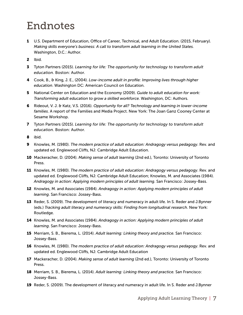### Endnotes

- 1 U.S. Department of Education, Office of Career, Technical, and Adult Education. (2015, February). *Making skills everyone's business: A call to transform adult learning in the United States.* Washington, D.C.: Author.
- 2 Ibid.
- 3 Tyton Partners (2015). *Learning for life: The opportunity for technology to transform adult education.* Boston: Author.
- 4 Cook, B., & King, J. E., (2004). *Low-income adult in profile: Improving lives through higher education*. Washington DC: American Council on Education.
- 5 National Center on Education and the Economy (2009). *Guide to adult education for work: Transforming adult education to grow a skilled workforce.* Washington, DC: Authors.
- 6 Rideout, V. J. & Katz, V.S. (2016). *Opportunity for all? Technology and learning in lower-income families*. A report of the Families and Media Project. New York: The Joan Ganz Cooney Center at Sesame Workshop.
- 7 Tyton Partners (2015). *Learning for life: The opportunity for technology to transform adult education.* Boston: Author.
- 8 ibid.
- 9 Knowles, M. (1980). *The modern practice of adult education: Andragogy versus pedagogy*. Rev. and updated ed. Englewood Cliffs, NJ: Cambridge Adult Education.
- 10 Mackeracher, D. (2004). *Making sense of adult learning* (2nd ed.), Toronto: University of Toronto Press.
- 11 Knowles, M. (1980). *The modern practice of adult education: Andragogy versus pedagogy*. Rev. and updated ed. Englewood Cliffs, NJ: Cambridge Adult Education; Knowles, M. and Associates (1984). *Andragogy in action: Applying modern principles of adult learning*. San Francisco: Jossey-Bass.
- 12 Knowles, M. and Associates (1984). *Andragogy in action: Applying modern principles of adult learning*. San Francisco: Jossey-Bass.
- 13 Reder, S. (2009). The development of literacy and numeracy in adult life. In S. Reder and J.Bynner (eds.) *Tracking adult literacy and numeracy skills: Finding from longitudinal research*. New York: Routledge.
- 14 Knowles, M. and Associates (1984). *Andragogy in action: Applying modern principles of adult learning*. San Francisco: Jossey-Bass.
- 15 Merriam, S. B., Bierema, L. (2014). *Adult learning: Linking theory and practice.* San Francisco: Jossey-Bass.
- 16 Knowles, M. (1980). *The modern practice of adult education: Andragogy versus pedagogy*. Rev. and updated ed. Englewood Cliffs, NJ: Cambridge Adult Education
- 17 Mackeracher, D. (2004). *Making sense of adult learning* (2nd ed.), Toronto: University of Toronto Press.
- 18 Merriam, S. B., Bierema, L. (2014). *Adult learning: Linking theory and practice.* San Francisco: Jossey-Bass.
- 19 Reder, S. (2009). The development of literacy and numeracy in adult life. In S. Reder and J.Bynner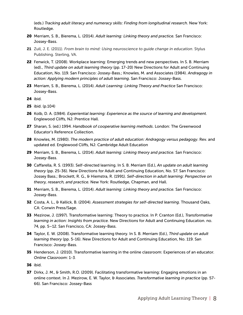(eds.) *Tracking adult literacy and numeracy skills: Finding from longitudinal research*. New York: Routledge.

- 20 Merriam, S. B., Bierema, L. (2014). *Adult learning: Linking theory and practice.* San Francisco: Jossey-Bass.
- 21 Zull, J. E. (2011). *From brain to mind: Using neuroscience to guide change in education*. Stylus Publishing. Sterling, VA.
- 22 Fenwick, T. (2008). Workplace learning: Emerging trends and new perspectives. In S. B. Merriam (ed)., *Third update on adult learning theory* (pp. 17-20) New Directions for Adult and Continuing Education, No. 119. San Francisco: Jossey-Bass.; Knowles, M. and Associates (1984). *Andragogy in action: Applying modern principles of adult learning*. San Francisco: Jossey-Bass.
- 23 Merriam, S. B., Bierema, L. (2014). *Adult Learning: Linking Theory and Practice* San Francisco: Jossey-Bass.
- 24 ibid.
- 25 ibid. (p.104)
- 26 Kolb, D. A. (1984). *Experiential learning: Experience as the source of learning and development.*  Englewood Cliffs, NJ: Prentice Hall.
- 27 Sharan, S. (ed.) 1994. *Handbook of cooperative learning methods*. London: The Greenwood Educator's Reference Collection.
- 28 Knowles, M. (1980). *The modern practice of adult education: Andragogy versus pedagogy*. Rev. and updated ed. Englewood Cliffs, NJ: Cambridge Adult Education
- 29 Merriam, S. B., Bierema, L. (2014). *Adult learning: Linking theory and practice.* San Francisco: Jossey-Bass.
- 30 Caffarella, R. S. (1993). Self-directed learning. In S. B. Merriam (Ed.), *An update on adult learning theory* (pp. 25-36). New Directions for Adult and Continuing Education, No. 57. San Francisco: Jossey Bass.; Brockett, R. G., & Hiemstra, R. (1991). *Self-direction in adult learning: Perspective on theory, research, and practice.* New York: Routledge, Chapman, and Hall.
- 31 Merriam, S. B., Bierema, L. (2014). *Adult learning: Linking theory and practice.* San Francisco: Jossey-Bass.
- 32 Costa, A. L., & Kallick, B. (2004). *Assessment strategies for self-directed learning*. Thousand Oaks, CA: Corwin Press/Sage.
- 33 Mezirow, J. (1997). Transformative learning: Theory to practice. In P. Cranton (Ed.), *Transformative learning in action: Insights from practice.* New Directions for Adult and Continuing Education. no. 74, pp. 5–12. San Francisco, CA: Jossey-Bass.
- 34 Taylor, E. W. (2008). Transformative learning theory. In S. B. Merriam (Ed.), *Third update on adult learning theory* (pp. 5-16). New Directions for Adult and Continuing Education, No. 119. San Francisco: Jossey-Bass.
- 35 Henderson, J. (2010). Transformative learning in the online classroom: Experiences of an educator. *Online Classroom*: 1-3.
- 36 ibid.
- 37 Dirkx, J. M., & Smith, R.O. (2009). Facilitating transformative learning: Engaging emotions in an online context. In J. Mezirow, E. W. Taylor, & Associates. *Transformative learning in practice* (pp. 57- 66). San Francisco: Jossey-Bass